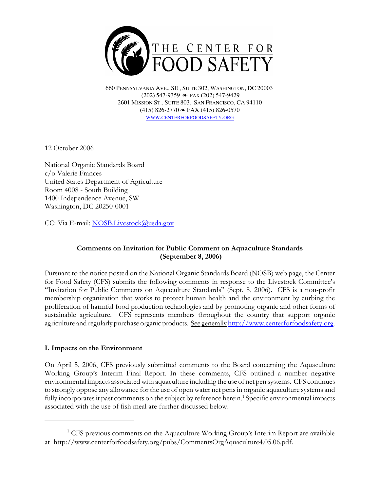

660 PENNSYLVANIA AVE., SE , SUITE 302, WASHINGTON, DC 20003 (202) 547-9359 ≥ FAX (202) 547-9429 2601 MISSION ST., SUITE 803, SAN FRANCISCO, CA 94110  $(415)$  826-2770  $\approx$  FAX (415) 826-0570 WWW.CENTERFORFOODSAFETY.ORG

12 October 2006

National Organic Standards Board c/o Valerie Frances United States Department of Agriculture Room 4008 - South Building 1400 Independence Avenue, SW Washington, DC 20250-0001

CC: Via E-mail: NOSB.Livestock@usda.gov

# Comments on Invitation for Public Comment on Aquaculture Standards (September 8, 2006)

Pursuant to the notice posted on the National Organic Standards Board (NOSB) web page, the Center for Food Safety (CFS) submits the following comments in response to the Livestock Committee's "Invitation for Public Comments on Aquaculture Standards" (Sept. 8, 2006). CFS is a non-profit membership organization that works to protect human health and the environment by curbing the proliferation of harmful food production technologies and by promoting organic and other forms of sustainable agriculture. CFS represents members throughout the country that support organic agriculture and regularly purchase organic products. See generally http://www.centerforfoodsafety.org.

## I. Impacts on the Environment

On April 5, 2006, CFS previously submitted comments to the Board concerning the Aquaculture Working Group's Interim Final Report. In these comments, CFS outlined a number negative environmental impacts associated with aquaculture including the use of net pen systems. CFS continues to strongly oppose any allowance for the use of open water net pens in organic aquaculture systems and fully incorporates it past comments on the subject by reference herein.<sup>1</sup> Specific environmental impacts associated with the use of fish meal are further discussed below.

<sup>&</sup>lt;sup>1</sup> CFS previous comments on the Aquaculture Working Group's Interim Report are available at http://www.centerforfoodsafety.org/pubs/CommentsOrgAquaculture4.05.06.pdf.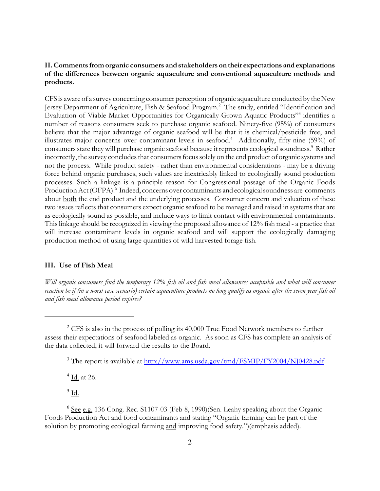## II. Comments from organic consumers and stakeholders on their expectations and explanations of the differences between organic aquaculture and conventional aquaculture methods and products.

CFS is aware of a survey concerning consumer perception of organic aquaculture conducted by the New Jersey Department of Agriculture, Fish & Seafood Program.<sup>2</sup> The study, entitled "Identification and Evaluation of Viable Market Opportunities for Organically-Grown Aquatic Products"3 identifies a number of reasons consumers seek to purchase organic seafood. Ninety-five (95%) of consumers believe that the major advantage of organic seafood will be that it is chemical/pesticide free, and illustrates major concerns over contaminant levels in seafood.<sup>4</sup> Additionally, fifty-nine (59%) of consumers state they will purchase organic seafood because it represents ecological soundness.<sup>5</sup> Rather incorrectly, the survey concludes that consumers focus solely on the end product of organic systems and not the process. While product safety - rather than environmental considerations - may be a driving force behind organic purchases, such values are inextricably linked to ecologically sound production processes. Such a linkage is a principle reason for Congressional passage of the Organic Foods Production Act (OFPA).<sup>6</sup> Indeed, concerns over contaminants and ecological soundness are comments about both the end product and the underlying processes. Consumer concern and valuation of these two issues reflects that consumers expect organic seafood to be managed and raised in systems that are as ecologically sound as possible, and include ways to limit contact with environmental contaminants. This linkage should be recognized in viewing the proposed allowance of 12% fish meal - a practice that will increase contaminant levels in organic seafood and will support the ecologically damaging production method of using large quantities of wild harvested forage fish.

## III. Use of Fish Meal

Will organic consumers find the temporary 12% fish oil and fish meal allowances acceptable and what will consumer reaction be if (in a worst case scenario) certain aquaculture products no long qualify as organic after the seven year fish oil and fish meal allowance period expires?

<sup>4</sup> <u>Id.</u> at 26.

 $^5$  <u>Id.</u>

 $2^{\circ}$  CFS is also in the process of polling its 40,000 True Food Network members to further assess their expectations of seafood labeled as organic. As soon as CFS has complete an analysis of the data collected, it will forward the results to the Board.

<sup>&</sup>lt;sup>3</sup> The report is available at http://www.ams.usda.gov/tmd/FSMIP/FY2004/NJ0428.pdf

<sup>&</sup>lt;sup>6</sup> See e.g. 136 Cong. Rec. S1107-03 (Feb 8, 1990)(Sen. Leahy speaking about the Organic Foods Production Act and food contaminants and stating "Organic farming can be part of the solution by promoting ecological farming and improving food safety.")(emphasis added).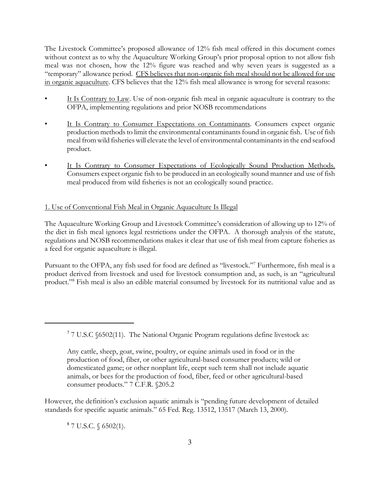The Livestock Committee's proposed allowance of 12% fish meal offered in this document comes without context as to why the Aquaculture Working Group's prior proposal option to not allow fish meal was not chosen, how the 12% figure was reached and why seven years is suggested as a "temporary" allowance period. CFS believes that non-organic fish meal should not be allowed for use in organic aquaculture. CFS believes that the 12% fish meal allowance is wrong for several reasons:

- It Is Contrary to Law. Use of non-organic fish meal in organic aquaculture is contrary to the OFPA, implementing regulations and prior NOSB recommendations
- It Is Contrary to Consumer Expectations on Contaminants. Consumers expect organic production methods to limit the environmental contaminants found in organic fish. Use of fish meal from wild fisheries will elevate the level of environmental contaminants in the end seafood product.
- It Is Contrary to Consumer Expectations of Ecologically Sound Production Methods. Consumers expect organic fish to be produced in an ecologically sound manner and use of fish meal produced from wild fisheries is not an ecologically sound practice.

# 1. Use of Conventional Fish Meal in Organic Aquaculture Is Illegal

The Aquaculture Working Group and Livestock Committee's consideration of allowing up to 12% of the diet in fish meal ignores legal restrictions under the OFPA. A thorough analysis of the statute, regulations and NOSB recommendations makes it clear that use of fish meal from capture fisheries as a feed for organic aquaculture is illegal.

Pursuant to the OFPA, any fish used for food are defined as "livestock."<sup>7</sup> Furthermore, fish meal is a product derived from livestock and used for livestock consumption and, as such, is an "agricultural product."<sup>8</sup> Fish meal is also an edible material consumed by livestock for its nutritional value and as

However, the definition's exclusion aquatic animals is "pending future development of detailed standards for specific aquatic animals." 65 Fed. Reg. 13512, 13517 (March 13, 2000).

 $8$  7 U.S.C. § 6502(1).

 $7$  7 U.S.C §6502(11). The National Organic Program regulations define livestock as:

Any cattle, sheep, goat, swine, poultry, or equine animals used in food or in the production of food, fiber, or other agricultural-based consumer products; wild or domesticated game; or other nonplant life, ecept such term shall not include aquatic animals, or bees for the production of food, fiber, feed or other agricultural-based consumer products." 7 C.F.R. §205.2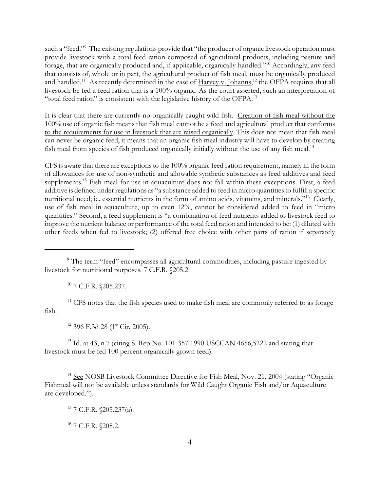such a "feed."<sup>9</sup> The existing regulations provide that "the producer of organic livestock operation must provide livestock with a total feed ration composed of agricultural products, including pasture and forage, that are organically produced and, if applicable, organically handled."<sup>10</sup> Accordingly, any feed that consists of, whole or in part, the agricultural product of fish meal, must be organically produced and handled.<sup>11</sup> As recently determined in the case of Harvey v. Johanns,<sup>12</sup> the OFPA requires that all livestock be fed a feed ration that is a 100% organic. As the court asserted, such an interpretation of "total feed ration" is consistent with the legislative history of the OFPA.<sup>13</sup>

It is clear that there are currently no organically caught wild fish. Creation of fish meal without the 100% use of organic fish means that fish meal cannot be a feed and agricultural product that conforms to the requirements for use in livestock that are raised organically. This does not mean that fish meal can never be organic feed, it means that an organic fish meal industry will have to develop by creating fish meal from species of fish produced organically initially without the use of any fish meal.<sup>14</sup>

CFS is aware that there are exceptions to the 100% organic feed ration requirement, namely in the form of allowances for use of non-synthetic and allowable synthetic substances as feed additives and feed supplements.<sup>15</sup> Fish meal for use in aquaculture does not fall within these exceptions. First, a feed additive is defined under regulations as "a substance added to feed in micro quantities to fulfill a specific nutritional need; ie. essential nutrients in the form of amino acids, vitamins, and minerals."<sup>16</sup> Clearly, use of fish meal in aquaculture, up to even 12%, cannot be considered added to feed in "micro quantities." Second, a feed supplement is "a combination of feed nutrients added to livestock feed to improve the nutrient balance or performance of the total feed ration and intended to be: (1) diluted with other feeds when fed to livestock; (2) offered free choice with other parts of ration if separately

<sup>10</sup> 7 C.F.R. §205.237.

 $11$  CFS notes that the fish species used to make fish meal are commonly referred to as forage fish.

 $12$  396 F.3d 28 (1<sup>st</sup> Cir. 2005).

<sup>13</sup> Id. at 43, n.7 (citing S. Rep No. 101-357 1990 USCCAN 4656,5222 and stating that livestock must be fed 100 percent organically grown feed).

<sup>14</sup> See NOSB Livestock Committee Directive for Fish Meal, Nov. 21, 2004 (stating "Organic Fishmeal will not be available unless standards for Wild Caught Organic Fish and/or Aquaculture are developed.").

<sup>16</sup> 7 C.F.R. §205.2.

<sup>&</sup>lt;sup>9</sup> The term "feed" encompasses all agricultural commodities, including pasture ingested by livestock for nutritional purposes. 7 C.F.R. §205.2

 $15$  7 C.F.R. §205.237(a).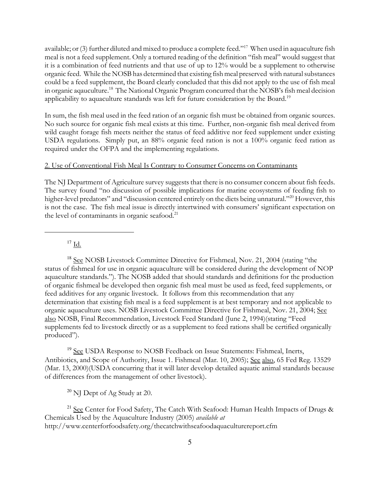available; or (3) further diluted and mixed to produce a complete feed."<sup>17</sup> When used in aquaculture fish meal is not a feed supplement. Only a tortured reading of the definition "fish meal" would suggest that it is a combination of feed nutrients and that use of up to 12% would be a supplement to otherwise organic feed. While the NOSB has determined that existing fish meal preserved with natural substances could be a feed supplement, the Board clearly concluded that this did not apply to the use of fish meal in organic aqauculture.<sup>18</sup> The National Organic Program concurred that the NOSB's fish meal decision applicability to aquaculture standards was left for future consideration by the Board.<sup>19</sup>

In sum, the fish meal used in the feed ration of an organic fish must be obtained from organic sources. No such source for organic fish meal exists at this time. Further, non-organic fish meal derived from wild caught forage fish meets neither the status of feed additive nor feed supplement under existing USDA regulations. Simply put, an 88% organic feed ration is not a 100% organic feed ration as required under the OFPA and the implementing regulations.

#### 2. Use of Conventional Fish Meal Is Contrary to Consumer Concerns on Contaminants

The NJ Department of Agriculture survey suggests that there is no consumer concern about fish feeds. The survey found "no discussion of possible implications for marine ecosystems of feeding fish to higher-level predators" and "discussion centered entirely on the diets being unnatural."<sup>20</sup> However, this is not the case. The fish meal issue is directly intertwined with consumers' significant expectation on the level of contaminants in organic seafood.<sup>21</sup>

 $17$  Id.

<sup>18</sup> See NOSB Livestock Committee Directive for Fishmeal, Nov. 21, 2004 (stating "the status of fishmeal for use in organic aquaculture will be considered during the development of NOP aquaculture standards."). The NOSB added that should standards and definitions for the production of organic fishmeal be developed then organic fish meal must be used as feed, feed supplements, or feed additives for any organic livestock. It follows from this recommendation that any determination that existing fish meal is a feed supplement is at best temporary and not applicable to organic aquaculture uses. NOSB Livestock Committee Directive for Fishmeal, Nov. 21, 2004; See also NOSB, Final Recommendation, Livestock Feed Standard (June 2, 1994)(stating "Feed supplements fed to livestock directly or as a supplement to feed rations shall be certified organically produced").

<sup>19</sup> See USDA Response to NOSB Feedback on Issue Statements: Fishmeal, Inerts, Antibiotics, and Scope of Authority, Issue 1. Fishmeal (Mar. 10, 2005); See also, 65 Fed Reg. 13529 (Mar. 13, 2000)(USDA concurring that it will later develop detailed aquatic animal standards because of differences from the management of other livestock).

<sup>20</sup> NJ Dept of Ag Study at 20.

 $21$  See Center for Food Safety, The Catch With Seafood: Human Health Impacts of Drugs & Chemicals Used by the Aquaculture Industry (2005) available at http://www.centerforfoodsafety.org/thecatchwithseafoodaquaculturereport.cfm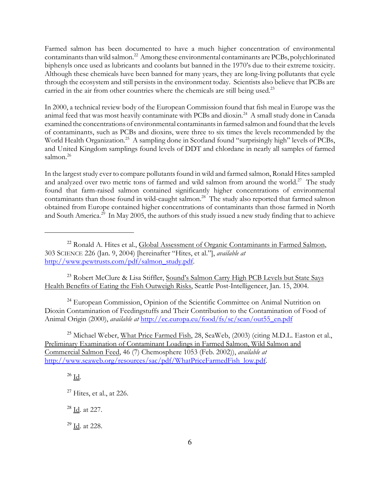Farmed salmon has been documented to have a much higher concentration of environmental contaminants than wild salmon.<sup>22</sup> Among these environmental contaminants are PCBs, polychlorinated biphenyls once used as lubricants and coolants but banned in the 1970's due to their extreme toxicity. Although these chemicals have been banned for many years, they are long-living pollutants that cycle through the ecosystem and still persists in the environment today. Scientists also believe that PCBs are carried in the air from other countries where the chemicals are still being used.<sup>23</sup>

In 2000, a technical review body of the European Commission found that fish meal in Europe was the animal feed that was most heavily contaminate with PCBs and dioxin.<sup>24</sup> A small study done in Canada examined the concentrations of environmental contaminants in farmed salmon and found that the levels of contaminants, such as PCBs and dioxins, were three to six times the levels recommended by the World Health Organization.<sup>25</sup> A sampling done in Scotland found "surprisingly high" levels of PCBs, and United Kingdom samplings found levels of DDT and chlordane in nearly all samples of farmed salmon.<sup>26</sup>

In the largest study ever to compare pollutants found in wild and farmed salmon, Ronald Hites sampled and analyzed over two metric tons of farmed and wild salmon from around the world.<sup>27</sup> The study found that farm-raised salmon contained significantly higher concentrations of environmental contaminants than those found in wild-caught salmon.<sup>28</sup> The study also reported that farmed salmon obtained from Europe contained higher concentrations of contaminants than those farmed in North and South America.<sup>29</sup> In May 2005, the authors of this study issued a new study finding that to achieve

<sup>23</sup> Robert McClure & Lisa Stiffler, Sound's Salmon Carry High PCB Levels but State Says Health Benefits of Eating the Fish Outweigh Risks, Seattle Post-Intelligencer, Jan. 15, 2004.

<sup>24</sup> European Commission, Opinion of the Scientific Committee on Animal Nutrition on Dioxin Contamination of Feedingstuffs and Their Contribution to the Contamination of Food of Animal Origin (2000), *available at* http://ec.europa.eu/food/fs/sc/scan/out55\_en.pdf

<sup>25</sup> Michael Weber, What Price Farmed Fish, 28, SeaWeb, (2003) (citing M.D.L. Easton et al., Preliminary Examination of Contaminant Loadings in Farmed Salmon, Wild Salmon and Commercial Salmon Feed, 46 (7) Chemosphere 1053 (Feb. 2002)), available at http://www.seaweb.org/resources/sac/pdf/WhatPriceFarmedFish\_low.pdf.

 $26$  Id.

<sup>28</sup> Id. at 227.

<sup>29</sup> Id. at 228.

<sup>&</sup>lt;sup>22</sup> Ronald A. Hites et al., Global Assessment of Organic Contaminants in Farmed Salmon, 303 SCIENCE 226 (Jan. 9, 2004) [hereinafter "Hites, et al."], available at http://www.pewtrusts.com/pdf/salmon\_study.pdf.

 $27$  Hites, et al., at 226.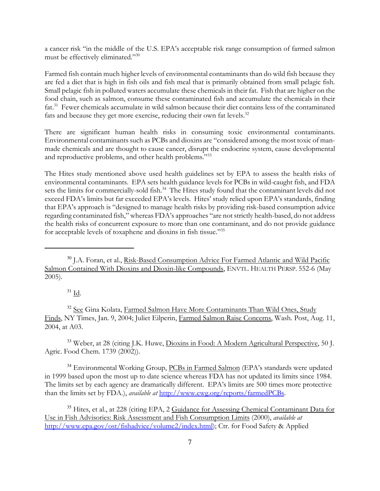a cancer risk "in the middle of the U.S. EPA's acceptable risk range consumption of farmed salmon must be effectively eliminated."<sup>30</sup>

Farmed fish contain much higher levels of environmental contaminants than do wild fish because they are fed a diet that is high in fish oils and fish meal that is primarily obtained from small pelagic fish. Small pelagic fish in polluted waters accumulate these chemicals in their fat. Fish that are higher on the food chain, such as salmon, consume these contaminated fish and accumulate the chemicals in their fat.<sup>31</sup> Fewer chemicals accumulate in wild salmon because their diet contains less of the contaminated fats and because they get more exercise, reducing their own fat levels.<sup>32</sup>

There are significant human health risks in consuming toxic environmental contaminants. Environmental contaminants such as PCBs and dioxins are "considered among the most toxic of manmade chemicals and are thought to cause cancer, disrupt the endocrine system, cause developmental and reproductive problems, and other health problems."<sup>33</sup>

The Hites study mentioned above used health guidelines set by EPA to assess the health risks of environmental contaminants. EPA sets health guidance levels for PCBs in wild-caught fish, and FDA sets the limits for commercially-sold fish.<sup>34</sup> The Hites study found that the contaminant levels did not exceed FDA's limits but far exceeded EPA's levels. Hites' study relied upon EPA's standards, finding that EPA's approach is "designed to manage health risks by providing risk-based consumption advice regarding contaminated fish," whereas FDA's approaches "are not strictly health-based, do not address the health risks of concurrent exposure to more than one contaminant, and do not provide guidance for acceptable levels of toxaphene and dioxins in fish tissue."<sup>35</sup>

 $31 \underline{\text{Id}}$ .

<sup>32</sup> See Gina Kolata, Farmed Salmon Have More Contaminants Than Wild Ones, Study Finds, NY Times, Jan. 9, 2004; Juliet Eilperin, Farmed Salmon Raise Concerns, Wash. Post, Aug. 11, 2004, at A03.

<sup>33</sup> Weber, at 28 (citing J.K. Huwe, Dioxins in Food: A Modern Agricultural Perspective, 50 J. Agric. Food Chem. 1739 (2002)).

<sup>34</sup> Environmental Working Group, PCBs in Farmed Salmon (EPA's standards were updated in 1999 based upon the most up to date science whereas FDA has not updated its limits since 1984. The limits set by each agency are dramatically different. EPA's limits are 500 times more protective than the limits set by FDA.), available at http://www.ewg.org/reports/farmedPCBs.

<sup>35</sup> Hites, et al., at 228 (citing EPA, 2 Guidance for Assessing Chemical Contaminant Data for Use in Fish Advisories: Risk Assessment and Fish Consumption Limits (2000), available at http://www.epa.gov/ost/fishadvice/volume2/index.html); Ctr. for Food Safety & Applied

<sup>&</sup>lt;sup>30</sup> J.A. Foran, et al., Risk-Based Consumption Advice For Farmed Atlantic and Wild Pacific Salmon Contained With Dioxins and Dioxin-like Compounds, ENVTL. HEALTH PERSP. 552-6 (May 2005).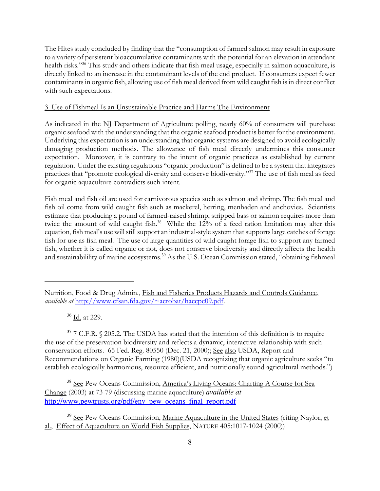The Hites study concluded by finding that the "consumption of farmed salmon may result in exposure to a variety of persistent bioaccumulative contaminants with the potential for an elevation in attendant health risks."<sup>36</sup> This study and others indicate that fish meal usage, especially in salmon aquaculture, is directly linked to an increase in the contaminant levels of the end product. If consumers expect fewer contaminants in organic fish, allowing use of fish meal derived from wild caught fish is in direct conflict with such expectations.

### 3. Use of Fishmeal Is an Unsustainable Practice and Harms The Environment

As indicated in the NJ Department of Agriculture polling, nearly 60% of consumers will purchase organic seafood with the understanding that the organic seafood product is better for the environment. Underlying this expectation is an understanding that organic systems are designed to avoid ecologically damaging production methods. The allowance of fish meal directly undermines this consumer expectation. Moreover, it is contrary to the intent of organic practices as established by current regulation. Under the existing regulations "organic production" is defined to be a system that integrates practices that "promote ecological diversity and conserve biodiversity."<sup>37</sup> The use of fish meal as feed for organic aquaculture contradicts such intent.

Fish meal and fish oil are used for carnivorous species such as salmon and shrimp. The fish meal and fish oil come from wild caught fish such as mackerel, herring, menhaden and anchovies. Scientists estimate that producing a pound of farmed-raised shrimp, stripped bass or salmon requires more than twice the amount of wild caught fish.<sup>38</sup> While the 12% of a feed ration limitation may alter this equation, fish meal's use will still support an industrial-style system that supports large catches of forage fish for use as fish meal. The use of large quantities of wild caught forage fish to support any farmed fish, whether it is called organic or not, does not conserve biodiversity and directly affects the health and sustainabilility of marine ecosystems.<sup>39</sup> As the U.S. Ocean Commission stated, "obtaining fishmeal

<sup>36</sup> Id. at 229.

 $37$  7 C.F.R.  $\Diamond$  205.2. The USDA has stated that the intention of this definition is to require the use of the preservation biodiversity and reflects a dynamic, interactive relationship with such conservation efforts. 65 Fed. Reg. 80550 (Dec. 21, 2000); See also USDA, Report and Recommendations on Organic Farming (1980)(USDA recognizing that organic agriculture seeks "to establish ecologically harmonious, resource efficient, and nutritionally sound agricultural methods.")

<sup>38</sup> See Pew Oceans Commission, America's Living Oceans: Charting A Course for Sea Change (2003) at 73-79 (discussing marine aquaculture) *available at* http://www.pewtrusts.org/pdf/env\_pew\_oceans\_final\_report.pdf

<sup>39</sup> See Pew Oceans Commission, Marine Aquaculture in the United States (citing Naylor, et al., Effect of Aquaculture on World Fish Supplies, NATURE 405:1017-1024 (2000))

Nutrition, Food & Drug Admin., Fish and Fisheries Products Hazards and Controls Guidance, available at http://www.cfsan.fda.gov/~acrobat/haccpc09.pdf.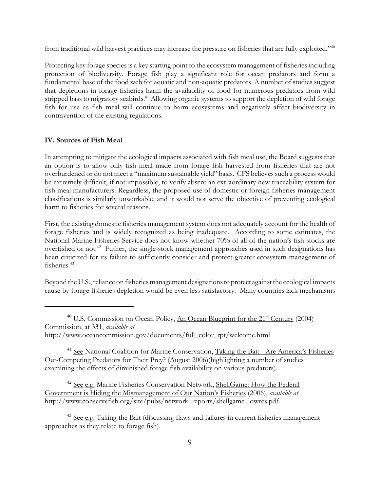from traditional wild harvest practices may increase the pressure on fisheries that are fully exploited."<sup>40</sup>

Protecting key forage species is a key starting point to the ecosystem management of fisheries including protection of biodiversity. Forage fish play a significant role for ocean predators and form a fundamental base of the food web for aquatic and non-aquatic predators. A number of studies suggest that depletions in forage fisheries harm the availability of food for numerous predators from wild stripped bass to migratory seabirds.<sup>41</sup> Allowing organic systems to support the depletion of wild forage fish for use as fish meal will continue to harm ecosystems and negatively affect biodiversity in contravention of the existing regulations.

#### IV. Sources of Fish Meal

In attempting to mitigate the ecological impacts associated with fish meal use, the Board suggests that an option is to allow only fish meal made from forage fish harvested from fisheries that are not overburdened or do not meet a "maximum sustainable yield" basis. CFS believes such a process would be extremely difficult, if not impossible, to verify absent an extraordinary new traceability system for fish meal manufacturers. Regardless, the proposed use of domestic or foreign fisheries management classifications is similarly unworkable, and it would not serve the objective of preventing ecological harm to fisheries for several reasons.

First, the existing domestic fisheries management system does not adequately account for the health of forage fisheries and is widely recognized as being inadequate. According to some estimates, the National Marine Fisheries Service does not know whether 70% of all of the nation's fish stocks are overfished or not.<sup>42</sup> Futher, the single-stock management approaches used in such designations has been criticized for its failure to sufficiently consider and protect greater ecosystem management of fisheries.<sup>43</sup>

Beyond the U.S., reliance on fisheries management designations to protect against the ecological impacts cause by forage fisheries depletion would be even less satisfactory. Many countries lack mechanisms

<sup>41</sup> See National Coalition for Marine Conservation, Taking the Bait - Are America's Fisheries Out-Competing Predators for Their Prey? (August 2006)(highlighting a number of studies examining the effects of diminished forage fish availability on various predators).

<sup>42</sup> See e.g. Marine Fisheries Conservation Network, ShellGame: How the Federal Government is Hiding the Mismanagement of Our Nation's Fisheries (2006), available at http://www.conservefish.org/site/pubs/network\_reports/shellgame\_lowres.pdf.

<sup>43</sup> See e.g. Taking the Bait (discussing flaws and failures in current fisheries management approaches as they relate to forage fish).

 $40$  U.S. Commission on Ocean Policy, An Ocean Blueprint for the  $21<sup>st</sup>$  Century (2004) Commission, at 331, available at http://www.oceancommission.gov/documents/full\_color\_rpt/welcome.html